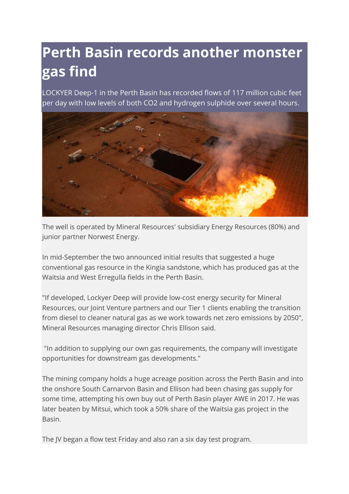## **Perth Basin records another monster gas find**

LOCKYER Deep-1 in the Perth Basin has recorded flows of 117 million cubic feet per day with low levels of both CO2 and hydrogen sulphide over several hours.



The well is operated by Mineral Resources' subsidiary Energy Resources (80%) and junior partner Norwest Energy.

In mid-September the two announced initial results that suggested a huge conventional gas resource in the Kingia sandstone, which has produced gas at the Waitsia and West Erregulla fields in the Perth Basin.

"If developed, Lockyer Deep will provide low-cost energy security for Mineral Resources, our Joint Venture partners and our Tier 1 clients enabling the transition from diesel to cleaner natural gas as we work towards net zero emissions by 2050", Mineral Resources managing director Chris Ellison said.

"In addition to supplying our own gas requirements, the company will investigate opportunities for downstream gas developments."

The mining company holds a huge acreage position across the Perth Basin and into the onshore South Carnarvon Basin and Ellison had been chasing gas supply for some time, attempting his own buy out of Perth Basin player AWE in 2017. He was later beaten by Mitsui, which took a 50% share of the Waitsia gas project in the Basin.

The JV began a flow test Friday and also ran a six day test program.